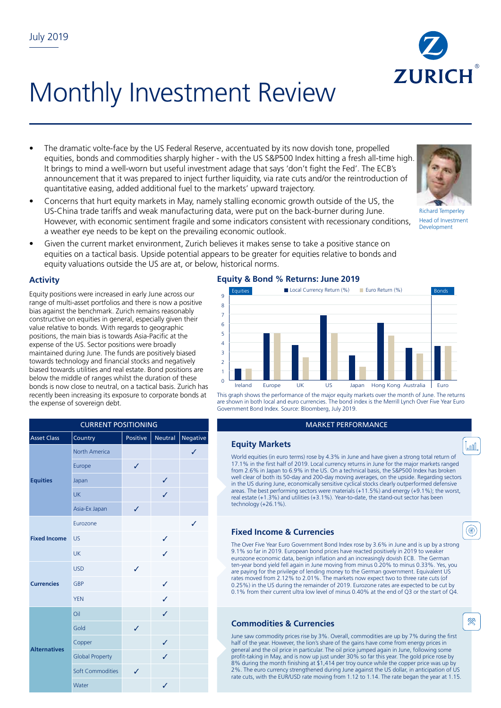

# Monthly Investment Review

- The dramatic volte-face by the US Federal Reserve, accentuated by its now dovish tone, propelled equities, bonds and commodities sharply higher - with the US S&P500 Index hitting a fresh all-time high. It brings to mind a well-worn but useful investment adage that says 'don't fight the Fed'. The ECB's announcement that it was prepared to inject further liquidity, via rate cuts and/or the reintroduction of quantitative easing, added additional fuel to the markets' upward trajectory.
- Concerns that hurt equity markets in May, namely stalling economic growth outside of the US, the US-China trade tariffs and weak manufacturing data, were put on the back-burner during June. However, with economic sentiment fragile and some indicators consistent with recessionary conditions, a weather eye needs to be kept on the prevailing economic outlook.



Richard Temperley Head of Investment Development

Î.nn Î

(◉

殩

• Given the current market environment, Zurich believes it makes sense to take a positive stance on equities on a tactical basis. Upside potential appears to be greater for equities relative to bonds and equity valuations outside the US are at, or below, historical norms.

## **Activity**

Equity positions were increased in early June across our range of multi-asset portfolios and there is now a positive bias against the benchmark. Zurich remains reasonably constructive on equities in general, especially given their value relative to bonds. With regards to geographic positions, the main bias is towards Asia-Pacific at the expense of the US. Sector positions were broadly maintained during June. The funds are positively biased towards technology and financial stocks and negatively biased towards utilities and real estate. Bond positions are below the middle of ranges whilst the duration of these bonds is now close to neutral, on a tactical basis. Zurich has recently been increasing its exposure to corporate bonds at the expense of sovereign debt.

| <b>CURRENT POSITIONING</b> |                         |          |                |              |  |  |  |
|----------------------------|-------------------------|----------|----------------|--------------|--|--|--|
| <b>Asset Class</b>         | Country                 | Positive | <b>Neutral</b> | Negative     |  |  |  |
| <b>Equities</b>            | <b>North America</b>    |          |                | $\checkmark$ |  |  |  |
|                            | Europe                  | ✓        |                |              |  |  |  |
|                            | Japan                   |          | ✓              |              |  |  |  |
|                            | <b>UK</b>               |          | ✓              |              |  |  |  |
|                            | Asia-Ex Japan           | ✓        |                |              |  |  |  |
| <b>Fixed Income</b>        | Eurozone                |          |                | ✓            |  |  |  |
|                            | <b>US</b>               |          | ✓              |              |  |  |  |
|                            | <b>UK</b>               |          | ℐ              |              |  |  |  |
| <b>Currencies</b>          | <b>USD</b>              | ✓        |                |              |  |  |  |
|                            | <b>GBP</b>              |          | ✓              |              |  |  |  |
|                            | <b>YEN</b>              |          |                |              |  |  |  |
| <b>Alternatives</b>        | Oil                     |          | ℐ              |              |  |  |  |
|                            | Gold                    | ✓        |                |              |  |  |  |
|                            | Copper                  |          | ✓              |              |  |  |  |
|                            | <b>Global Property</b>  |          | J              |              |  |  |  |
|                            | <b>Soft Commodities</b> | ✓        |                |              |  |  |  |
|                            | <b>Water</b>            |          | J              |              |  |  |  |

### **Equity & Bond % Returns: June 2019**



This graph shows the performance of the major equity markets over the month of June. The returns are shown in both local and euro currencies. The bond index is the Merrill Lynch Over Five Year Euro Government Bond Index. Source: Bloomberg, July 2019.

#### **MARKET PERFORMANCE**

## **Equity Markets**

World equities (in euro terms) rose by 4.3% in June and have given a strong total return of 17.1% in the first half of 2019. Local currency returns in June for the major markets ranged from 2.6% in Japan to 6.9% in the US. On a technical basis, the S&P500 Index has broken well clear of both its 50-day and 200-day moving averages, on the upside. Regarding sectors in the US during June, economically sensitive cyclical stocks clearly outperformed defensive areas. The best performing sectors were materials (+11.5%) and energy (+9.1%); the worst, real estate (+1.3%) and utilities (+3.1%). Year-to-date, the stand-out sector has been technology (+26.1%).

# **Fixed Income & Currencies**

The Over Five Year Euro Government Bond Index rose by 3.6% in June and is up by a strong 9.1% so far in 2019. European bond prices have reacted positively in 2019 to weaker eurozone economic data, benign inflation and an increasingly dovish ECB. The German ten-year bond yield fell again in June moving from minus 0.20% to minus 0.33%. Yes, you are paying for the privilege of lending money to the German government. Equivalent US rates moved from 2.12% to 2.01%. The markets now expect two to three rate cuts (of 0.25%) in the US during the remainder of 2019. Eurozone rates are expected to be cut by 0.1% from their current ultra low level of minus 0.40% at the end of Q3 or the start of Q4.

# **Commodities & Currencies**

June saw commodity prices rise by 3%. Overall, commodities are up by 7% during the first half of the year. However, the lion's share of the gains have come from energy prices in general and the oil price in particular. The oil price jumped again in June, following some profit-taking in May, and is now up just under 30% so far this year. The gold price rose by 8% during the month finishing at \$1,414 per troy ounce while the copper price was up by 2%. The euro currency strengthened during June against the US dollar, in anticipation of US rate cuts, with the EUR/USD rate moving from 1.12 to 1.14. The rate began the year at 1.15.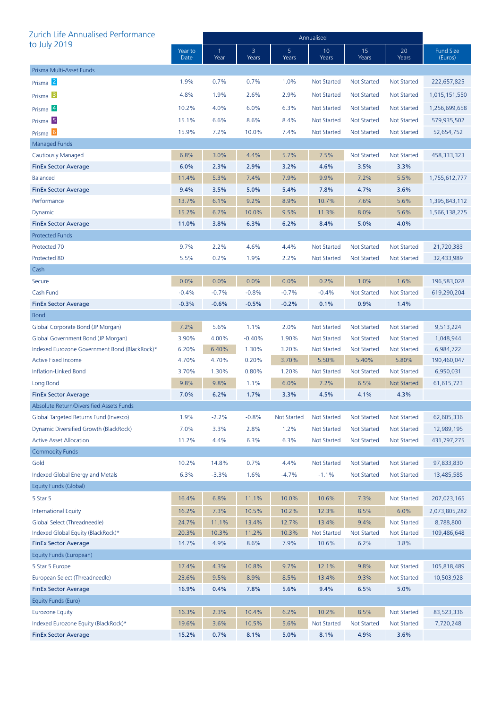| Zurich Life Annualised Performance            |                 | Annualised |            |                    |                    |                    |                    |                             |
|-----------------------------------------------|-----------------|------------|------------|--------------------|--------------------|--------------------|--------------------|-----------------------------|
| to July 2019                                  | Year to<br>Date | 1<br>Year  | 3<br>Years | 5<br>Years         | 10<br>Years        | 15<br>Years        | 20<br>Years        | <b>Fund Size</b><br>(Euros) |
| Prisma Multi-Asset Funds                      |                 |            |            |                    |                    |                    |                    |                             |
| Prisma <sup>2</sup>                           | 1.9%            | 0.7%       | 0.7%       | 1.0%               | <b>Not Started</b> | <b>Not Started</b> | Not Started        | 222,657,825                 |
| Prisma <sup>3</sup>                           | 4.8%            | 1.9%       | 2.6%       | 2.9%               | <b>Not Started</b> | Not Started        | Not Started        | 1,015,151,550               |
| Prisma <sup>4</sup>                           | 10.2%           | 4.0%       | 6.0%       | 6.3%               | <b>Not Started</b> | Not Started        | <b>Not Started</b> | 1,256,699,658               |
| Prisma <sup>5</sup>                           | 15.1%           | 6.6%       | 8.6%       | 8.4%               | <b>Not Started</b> | Not Started        | Not Started        | 579,935,502                 |
| Prisma <sup>6</sup>                           | 15.9%           | 7.2%       | 10.0%      | 7.4%               | Not Started        | Not Started        | <b>Not Started</b> | 52,654,752                  |
| <b>Managed Funds</b>                          |                 |            |            |                    |                    |                    |                    |                             |
| Cautiously Managed                            | 6.8%            | 3.0%       | 4.4%       | 5.7%               | 7.5%               | <b>Not Started</b> | <b>Not Started</b> | 458,333,323                 |
| <b>FinEx Sector Average</b>                   | 6.0%            | 2.3%       | 2.9%       | 3.2%               | 4.6%               | 3.5%               | 3.3%               |                             |
| <b>Balanced</b>                               | 11.4%           | 5.3%       | 7.4%       | 7.9%               | 9.9%               | 7.2%               | 5.5%               | 1,755,612,777               |
| <b>FinEx Sector Average</b>                   | 9.4%            | 3.5%       | 5.0%       | 5.4%               | 7.8%               | 4.7%               | 3.6%               |                             |
| Performance                                   | 13.7%           | 6.1%       | 9.2%       | 8.9%               | 10.7%              | 7.6%               | 5.6%               | 1,395,843,112               |
| Dynamic                                       | 15.2%           | 6.7%       | 10.0%      | 9.5%               | 11.3%              | 8.0%               | 5.6%               | 1,566,138,275               |
| <b>FinEx Sector Average</b>                   | 11.0%           | 3.8%       | 6.3%       | 6.2%               | 8.4%               | 5.0%               | 4.0%               |                             |
| <b>Protected Funds</b>                        |                 |            |            |                    |                    |                    |                    |                             |
| Protected 70                                  | 9.7%            | 2.2%       | 4.6%       | 4.4%               | <b>Not Started</b> | <b>Not Started</b> | Not Started        | 21,720,383                  |
| Protected 80                                  | 5.5%            | 0.2%       | 1.9%       | 2.2%               | <b>Not Started</b> | <b>Not Started</b> | Not Started        | 32,433,989                  |
| Cash                                          |                 |            |            |                    |                    |                    |                    |                             |
| Secure                                        | 0.0%            | 0.0%       | 0.0%       | 0.0%               | 0.2%               | 1.0%               | 1.6%               | 196,583,028                 |
| Cash Fund                                     | $-0.4%$         | $-0.7%$    | $-0.8%$    | $-0.7%$            | $-0.4%$            | <b>Not Started</b> | <b>Not Started</b> | 619,290,204                 |
| <b>FinEx Sector Average</b>                   | $-0.3%$         | $-0.6%$    | $-0.5%$    | $-0.2%$            | 0.1%               | 0.9%               | 1.4%               |                             |
| <b>Bond</b>                                   |                 |            |            |                    |                    |                    |                    |                             |
| Global Corporate Bond (JP Morgan)             | 7.2%            | 5.6%       | 1.1%       | 2.0%               | <b>Not Started</b> | <b>Not Started</b> | <b>Not Started</b> | 9,513,224                   |
| Global Government Bond (JP Morgan)            | 3.90%           | 4.00%      | $-0.40%$   | 1.90%              | <b>Not Started</b> | <b>Not Started</b> | Not Started        | 1,048,944                   |
| Indexed Eurozone Government Bond (BlackRock)* | 6.20%           | 6.40%      | 1.30%      | 3.20%              | <b>Not Started</b> | <b>Not Started</b> | <b>Not Started</b> | 6,984,722                   |
| <b>Active Fixed Income</b>                    | 4.70%           | 4.70%      | 0.20%      | 3.70%              | 5.50%              | 5.40%              | 5.80%              | 190,460,047                 |
| Inflation-Linked Bond                         | 3.70%           | 1.30%      | 0.80%      | 1.20%              | Not Started        | <b>Not Started</b> | <b>Not Started</b> | 6,950,031                   |
| Long Bond                                     | 9.8%            | 9.8%       | 1.1%       | 6.0%               | 7.2%               | 6.5%               | <b>Not Started</b> | 61,615,723                  |
| <b>FinEx Sector Average</b>                   | 7.0%            | 6.2%       | 1.7%       | 3.3%               | 4.5%               | 4.1%               | 4.3%               |                             |
| Absolute Return/Diversified Assets Funds      |                 |            |            |                    |                    |                    |                    |                             |
| Global Targeted Returns Fund (Invesco)        | 1.9%            | $-2.2%$    | $-0.8%$    | <b>Not Started</b> | <b>Not Started</b> | <b>Not Started</b> | <b>Not Started</b> | 62,605,336                  |
| Dynamic Diversified Growth (BlackRock)        | 7.0%            | 3.3%       | 2.8%       | 1.2%               | <b>Not Started</b> | <b>Not Started</b> | <b>Not Started</b> | 12,989,195                  |
| <b>Active Asset Allocation</b>                | 11.2%           | 4.4%       | 6.3%       | 6.3%               | <b>Not Started</b> | <b>Not Started</b> | <b>Not Started</b> | 431,797,275                 |
| <b>Commodity Funds</b>                        |                 |            |            |                    |                    |                    |                    |                             |
| Gold                                          | 10.2%           | 14.8%      | 0.7%       | 4.4%               | <b>Not Started</b> | <b>Not Started</b> | <b>Not Started</b> | 97,833,830                  |
| Indexed Global Energy and Metals              | 6.3%            | $-3.3%$    | 1.6%       | $-4.7%$            | $-1.1%$            | <b>Not Started</b> | <b>Not Started</b> | 13,485,585                  |
| Equity Funds (Global)                         |                 |            |            |                    |                    |                    |                    |                             |
| 5 Star 5                                      | 16.4%           | 6.8%       | 11.1%      | 10.0%              | 10.6%              | 7.3%               | Not Started        | 207,023,165                 |
| <b>International Equity</b>                   | 16.2%           | 7.3%       | 10.5%      | 10.2%              | 12.3%              | 8.5%               | 6.0%               | 2,073,805,282               |
| Global Select (Threadneedle)                  | 24.7%           | 11.1%      | 13.4%      | 12.7%              | 13.4%              | 9.4%               | <b>Not Started</b> | 8,788,800                   |
| Indexed Global Equity (BlackRock)*            | 20.3%           | 10.3%      | 11.2%      | 10.3%              | <b>Not Started</b> | <b>Not Started</b> | <b>Not Started</b> | 109,486,648                 |
| <b>FinEx Sector Average</b>                   | 14.7%           | 4.9%       | 8.6%       | 7.9%               | 10.6%              | 6.2%               | 3.8%               |                             |
| Equity Funds (European)                       |                 |            |            |                    |                    |                    |                    |                             |
| 5 Star 5 Europe                               | 17.4%           | 4.3%       | 10.8%      | 9.7%               | 12.1%              | 9.8%               | <b>Not Started</b> | 105,818,489                 |
| European Select (Threadneedle)                | 23.6%           | 9.5%       | 8.9%       | 8.5%               | 13.4%              | 9.3%               | <b>Not Started</b> | 10,503,928                  |
| <b>FinEx Sector Average</b>                   | 16.9%           | 0.4%       | 7.8%       | 5.6%               | 9.4%               | 6.5%               | 5.0%               |                             |
| Equity Funds (Euro)                           |                 |            |            |                    |                    |                    |                    |                             |
| <b>Eurozone Equity</b>                        | 16.3%           | 2.3%       | 10.4%      | 6.2%               | 10.2%              | 8.5%               | <b>Not Started</b> | 83,523,336                  |
| Indexed Eurozone Equity (BlackRock)*          | 19.6%           | 3.6%       | 10.5%      | 5.6%               | <b>Not Started</b> | <b>Not Started</b> | <b>Not Started</b> | 7,720,248                   |
| <b>FinEx Sector Average</b>                   | 15.2%           | 0.7%       | 8.1%       | 5.0%               | 8.1%               | 4.9%               | 3.6%               |                             |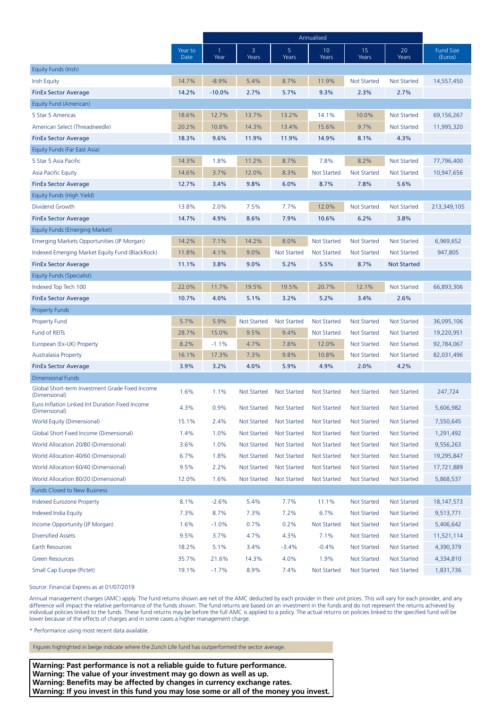|                                                                  |                 | Annualised |                    |                         |                    |                    |                    |                             |
|------------------------------------------------------------------|-----------------|------------|--------------------|-------------------------|--------------------|--------------------|--------------------|-----------------------------|
|                                                                  | Year to<br>Date | -1<br>Year | 3<br>Years         | 5 <sup>1</sup><br>Years | 10<br>Years        | 15<br>Years        | 20<br>Years        | <b>Fund Size</b><br>(Euros) |
| Equity Funds (Irish)                                             |                 |            |                    |                         |                    |                    |                    |                             |
| <b>Irish Equity</b>                                              | 14.7%           | $-8.9%$    | 5.4%               | 8.7%                    | 11.9%              | <b>Not Started</b> | <b>Not Started</b> | 14,557,450                  |
| <b>FinEx Sector Average</b>                                      | 14.2%           | $-10.0%$   | 2.7%               | 5.7%                    | 9.3%               | 2.3%               | 2.7%               |                             |
| Equity Fund (American)                                           |                 |            |                    |                         |                    |                    |                    |                             |
| 5 Star 5 Americas                                                | 18.6%           | 12.7%      | 13.7%              | 13.2%                   | 14.1%              | 10.0%              | <b>Not Started</b> | 69,156,267                  |
| American Select (Threadneedle)                                   | 20.2%           | 10.8%      | 14.3%              | 13.4%                   | 15.6%              | 9.7%               | <b>Not Started</b> | 11,995,320                  |
| <b>FinEx Sector Average</b>                                      | 18.3%           | 9.6%       | 11.9%              | 11.9%                   | 14.9%              | 8.1%               | 4.3%               |                             |
| Equity Funds (Far East Asia)                                     |                 |            |                    |                         |                    |                    |                    |                             |
| 5 Star 5 Asia Pacific                                            | 14.3%           | 1.8%       | 11.2%              | 8.7%                    | 7.8%               | 8.2%               | <b>Not Started</b> | 77,796,400                  |
| Asia Pacific Equity                                              | 14.6%           | 3.7%       | 12.0%              | 8.3%                    | <b>Not Started</b> | <b>Not Started</b> | <b>Not Started</b> | 10,947,656                  |
| <b>FinEx Sector Average</b>                                      | 12.7%           | 3.4%       | 9.8%               | 6.0%                    | 8.7%               | 7.8%               | 5.6%               |                             |
| Equity Funds (High Yield)                                        |                 |            |                    |                         |                    |                    |                    |                             |
| Dividend Growth                                                  | 13.8%           | 2.0%       | 7.5%               | 7.7%                    | 12.0%              | <b>Not Started</b> | Not Started        | 213,349,105                 |
| <b>FinEx Sector Average</b>                                      | 14.7%           | 4.9%       | 8.6%               | 7.9%                    | 10.6%              | 6.2%               | 3.8%               |                             |
| Equity Funds (Emerging Market)                                   |                 |            |                    |                         |                    |                    |                    |                             |
| Emerging Markets Opportunities (JP Morgan)                       | 14.2%           | 7.1%       | 14.2%              | 8.0%                    | <b>Not Started</b> | <b>Not Started</b> | Not Started        | 6,969,652                   |
| Indexed Emerging Market Equity Fund (BlackRock)                  | 11.8%           | 4.1%       | 9.0%               | Not Started             | <b>Not Started</b> | <b>Not Started</b> | Not Started        | 947,805                     |
| <b>FinEx Sector Average</b>                                      | 11.1%           | 3.8%       | 9.0%               | 5.2%                    | 5.5%               | 8.7%               | <b>Not Started</b> |                             |
| Equity Funds (Specialist)                                        |                 |            |                    |                         |                    |                    |                    |                             |
| Indexed Top Tech 100                                             | 22.0%           | 11.7%      | 19.5%              | 19.5%                   | 20.7%              | 12.1%              | <b>Not Started</b> | 66,893,306                  |
| <b>FinEx Sector Average</b>                                      | 10.7%           | 4.0%       | 5.1%               | 3.2%                    | 5.2%               | 3.4%               | 2.6%               |                             |
| <b>Property Funds</b>                                            |                 |            |                    |                         |                    |                    |                    |                             |
| <b>Property Fund</b>                                             | 5.7%            | 5.9%       | <b>Not Started</b> | <b>Not Started</b>      | <b>Not Started</b> | <b>Not Started</b> | <b>Not Started</b> | 36,095,106                  |
| <b>Fund of REITs</b>                                             | 28.7%           | 15.0%      | 9.5%               | 9.4%                    | <b>Not Started</b> | <b>Not Started</b> | Not Started        | 19,220,951                  |
| European (Ex-UK) Property                                        | 8.2%            | $-1.1%$    | 4.7%               | 7.8%                    | 12.0%              | <b>Not Started</b> | <b>Not Started</b> | 92,784,067                  |
| <b>Australasia Property</b>                                      | 16.1%           | 17.3%      | 7.3%               | 9.8%                    | 10.8%              | <b>Not Started</b> | <b>Not Started</b> | 82,031,496                  |
| <b>FinEx Sector Average</b>                                      | 3.9%            | 3.2%       | 4.0%               | 5.9%                    | 4.9%               | 2.0%               | 4.2%               |                             |
| <b>Dimensional Funds</b>                                         |                 |            |                    |                         |                    |                    |                    |                             |
| Global Short-term Investment Grade Fixed Income<br>(Dimensional) | 1.6%            | 1.1%       | Not Started        | <b>Not Started</b>      | <b>Not Started</b> | <b>Not Started</b> | <b>Not Started</b> | 247,724                     |
| Euro Inflation Linked Int Duration Fixed Income<br>(Dimensional) | 4.3%            | 0.9%       | Not Started        | <b>Not Started</b>      | Not Started        | Not Started        | Not Started        | 5,606,982                   |
| <b>World Equity (Dimensional)</b>                                | 15.1%           | 2.4%       | <b>Not Started</b> | Not Started             | Not Started        | Not Started        | Not Started        | 7,550,645                   |
| Global Short Fixed Income (Dimensional)                          | 1.4%            | 1.0%       | <b>Not Started</b> | <b>Not Started</b>      | <b>Not Started</b> | <b>Not Started</b> | Not Started        | 1,291,492                   |
| World Allocation 20/80 (Dimensional)                             | 3.6%            | 1.0%       | Not Started        | <b>Not Started</b>      | <b>Not Started</b> | <b>Not Started</b> | Not Started        | 9,556,263                   |
| World Allocation 40/60 (Dimensional)                             | 6.7%            | 1.8%       | Not Started        | <b>Not Started</b>      | <b>Not Started</b> | <b>Not Started</b> | Not Started        | 19,295,847                  |
| World Allocation 60/40 (Dimensional)                             | 9.5%            | 2.2%       | Not Started        | <b>Not Started</b>      | <b>Not Started</b> | <b>Not Started</b> | Not Started        | 17,721,889                  |
| World Allocation 80/20 (Dimensional)                             | 12.0%           | 1.6%       | <b>Not Started</b> | <b>Not Started</b>      | <b>Not Started</b> | <b>Not Started</b> | Not Started        | 5,868,537                   |
| <b>Funds Closed to New Business</b>                              |                 |            |                    |                         |                    |                    |                    |                             |
| <b>Indexed Eurozone Property</b>                                 | 8.1%            | $-2.6%$    | 5.4%               | 7.7%                    | 11.1%              | <b>Not Started</b> | <b>Not Started</b> | 18, 147, 573                |
| <b>Indexed India Equity</b>                                      | 7.3%            | 8.7%       | 7.3%               | 7.2%                    | 6.7%               | <b>Not Started</b> | <b>Not Started</b> | 9,513,771                   |
| Income Opportunity (JP Morgan)                                   | 1.6%            | $-1.0%$    | 0.7%               | 0.2%                    | <b>Not Started</b> | <b>Not Started</b> | <b>Not Started</b> | 5,406,642                   |
| <b>Diversified Assets</b>                                        | 9.5%            | 3.7%       | 4.7%               | 4.3%                    | 7.1%               | Not Started        | Not Started        | 11,521,114                  |
| Earth Resources                                                  | 18.2%           | 5.1%       | 3.4%               | $-3.4%$                 | $-0.4%$            | <b>Not Started</b> | <b>Not Started</b> | 4,390,379                   |
| <b>Green Resources</b>                                           | 35.7%           | 21.6%      | 14.3%              | 4.0%                    | 1.9%               | <b>Not Started</b> | <b>Not Started</b> | 4,334,810                   |
| Small Cap Europe (Pictet)                                        | 19.1%           | $-1.7%$    | 8.9%               | 7.4%                    | Not Started        | Not Started        | Not Started        | 1,831,736                   |

Source: Financial Express as at 01/07/2019

Annual management charges (AMC) apply. The fund returns shown are net of the AMC deducted by each provider in their unit prices. This will vary for each provider, and any difference will impact the relative performance of the funds shown. The fund returns are based on an investment in the funds and do not represent the returns achieved by individual policies linked to the funds. These fund returns may be before the full AMC is applied to a policy. The actual returns on policies linked to the specified fund will be lower because of the effects of charges and in some cases a higher management charge.

\* Performance using most recent data available.

Figures highlighted in beige indicate where the Zurich Life fund has outperformed the sector average.

**Warning: Past performance is not a reliable guide to future performance. Warning: The value of your investment may go down as well as up. Warning: Benefits may be affected by changes in currency exchange rates. Warning: If you invest in this fund you may lose some or all of the money you invest.**